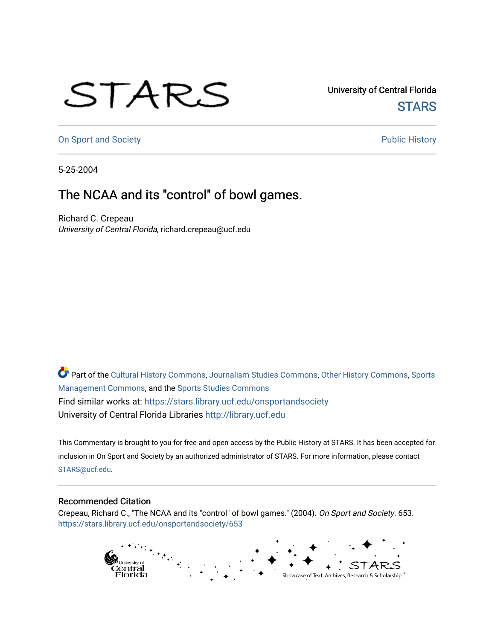## STARS

University of Central Florida **STARS** 

[On Sport and Society](https://stars.library.ucf.edu/onsportandsociety) **Public History** Public History

5-25-2004

## The NCAA and its "control" of bowl games.

Richard C. Crepeau University of Central Florida, richard.crepeau@ucf.edu

Part of the [Cultural History Commons](http://network.bepress.com/hgg/discipline/496?utm_source=stars.library.ucf.edu%2Fonsportandsociety%2F653&utm_medium=PDF&utm_campaign=PDFCoverPages), [Journalism Studies Commons,](http://network.bepress.com/hgg/discipline/333?utm_source=stars.library.ucf.edu%2Fonsportandsociety%2F653&utm_medium=PDF&utm_campaign=PDFCoverPages) [Other History Commons,](http://network.bepress.com/hgg/discipline/508?utm_source=stars.library.ucf.edu%2Fonsportandsociety%2F653&utm_medium=PDF&utm_campaign=PDFCoverPages) [Sports](http://network.bepress.com/hgg/discipline/1193?utm_source=stars.library.ucf.edu%2Fonsportandsociety%2F653&utm_medium=PDF&utm_campaign=PDFCoverPages) [Management Commons](http://network.bepress.com/hgg/discipline/1193?utm_source=stars.library.ucf.edu%2Fonsportandsociety%2F653&utm_medium=PDF&utm_campaign=PDFCoverPages), and the [Sports Studies Commons](http://network.bepress.com/hgg/discipline/1198?utm_source=stars.library.ucf.edu%2Fonsportandsociety%2F653&utm_medium=PDF&utm_campaign=PDFCoverPages) Find similar works at: <https://stars.library.ucf.edu/onsportandsociety> University of Central Florida Libraries [http://library.ucf.edu](http://library.ucf.edu/) 

This Commentary is brought to you for free and open access by the Public History at STARS. It has been accepted for inclusion in On Sport and Society by an authorized administrator of STARS. For more information, please contact [STARS@ucf.edu](mailto:STARS@ucf.edu).

## Recommended Citation

Crepeau, Richard C., "The NCAA and its "control" of bowl games." (2004). On Sport and Society. 653. [https://stars.library.ucf.edu/onsportandsociety/653](https://stars.library.ucf.edu/onsportandsociety/653?utm_source=stars.library.ucf.edu%2Fonsportandsociety%2F653&utm_medium=PDF&utm_campaign=PDFCoverPages)

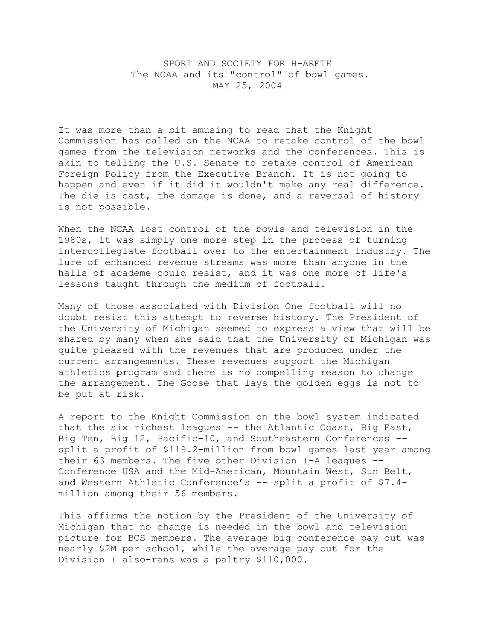SPORT AND SOCIETY FOR H-ARETE The NCAA and its "control" of bowl games. MAY 25, 2004

It was more than a bit amusing to read that the Knight Commission has called on the NCAA to retake control of the bowl games from the television networks and the conferences. This is akin to telling the U.S. Senate to retake control of American Foreign Policy from the Executive Branch. It is not going to happen and even if it did it wouldn't make any real difference. The die is cast, the damage is done, and a reversal of history is not possible.

When the NCAA lost control of the bowls and television in the 1980s, it was simply one more step in the process of turning intercollegiate football over to the entertainment industry. The lure of enhanced revenue streams was more than anyone in the halls of academe could resist, and it was one more of life's lessons taught through the medium of football.

Many of those associated with Division One football will no doubt resist this attempt to reverse history. The President of the University of Michigan seemed to express a view that will be shared by many when she said that the University of Michigan was quite pleased with the revenues that are produced under the current arrangements. These revenues support the Michigan athletics program and there is no compelling reason to change the arrangement. The Goose that lays the golden eggs is not to be put at risk.

A report to the Knight Commission on the bowl system indicated that the six richest leagues -- the Atlantic Coast, Big East, Big Ten, Big 12, Pacific-10, and Southeastern Conferences - split a profit of \$119.2-million from bowl games last year among their 63 members. The five other Division I-A leagues -- Conference USA and the Mid-American, Mountain West, Sun Belt, and Western Athletic Conference's -- split a profit of \$7.4million among their 56 members.

This affirms the notion by the President of the University of Michigan that no change is needed in the bowl and television picture for BCS members. The average big conference pay out was nearly \$2M per school, while the average pay out for the Division I also-rans was a paltry \$110,000.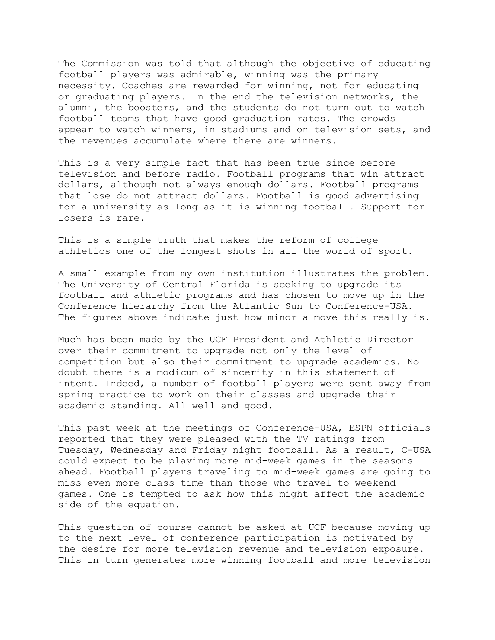The Commission was told that although the objective of educating football players was admirable, winning was the primary necessity. Coaches are rewarded for winning, not for educating or graduating players. In the end the television networks, the alumni, the boosters, and the students do not turn out to watch football teams that have good graduation rates. The crowds appear to watch winners, in stadiums and on television sets, and the revenues accumulate where there are winners.

This is a very simple fact that has been true since before television and before radio. Football programs that win attract dollars, although not always enough dollars. Football programs that lose do not attract dollars. Football is good advertising for a university as long as it is winning football. Support for losers is rare.

This is a simple truth that makes the reform of college athletics one of the longest shots in all the world of sport.

A small example from my own institution illustrates the problem. The University of Central Florida is seeking to upgrade its football and athletic programs and has chosen to move up in the Conference hierarchy from the Atlantic Sun to Conference-USA. The figures above indicate just how minor a move this really is.

Much has been made by the UCF President and Athletic Director over their commitment to upgrade not only the level of competition but also their commitment to upgrade academics. No doubt there is a modicum of sincerity in this statement of intent. Indeed, a number of football players were sent away from spring practice to work on their classes and upgrade their academic standing. All well and good.

This past week at the meetings of Conference-USA, ESPN officials reported that they were pleased with the TV ratings from Tuesday, Wednesday and Friday night football. As a result, C-USA could expect to be playing more mid-week games in the seasons ahead. Football players traveling to mid-week games are going to miss even more class time than those who travel to weekend games. One is tempted to ask how this might affect the academic side of the equation.

This question of course cannot be asked at UCF because moving up to the next level of conference participation is motivated by the desire for more television revenue and television exposure. This in turn generates more winning football and more television